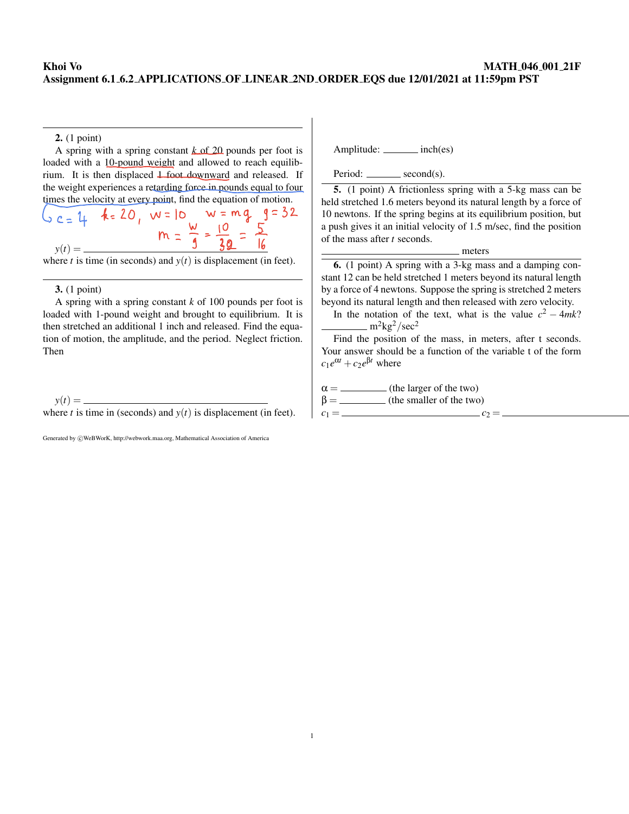## Khoi Vo MATH 046 001 21F Assignment 6.1 6.2 APPLICATIONS OF LINEAR 2ND ORDER EQS due 12/01/2021 at 11:59pm PST

### 2. (1 point)

A spring with a spring constant *k* of 20 pounds per foot is loaded with a 10-pound weight and allowed to reach equilibrium. It is then displaced 1 foot downward and released. If the weight experiences a retarding force in pounds equal to four times the velocity at every point, find the equation of motion.

$$
6c = 14 \quad k = 20, \quad w = 10 \quad w = mg \quad g = 52
$$
\n
$$
y(t) = \frac{w}{\sqrt{1 - \frac{w}{3}}} = \frac{10}{39} = \frac{5}{16}
$$

where *t* is time (in seconds) and  $y(t)$  is displacement (in feet).

### 3. (1 point)

A spring with a spring constant *k* of 100 pounds per foot is loaded with 1-pound weight and brought to equilibrium. It is then stretched an additional 1 inch and released. Find the equation of motion, the amplitude, and the period. Neglect friction. Then

 $y(t) =$  where *t* is time in (seconds) and  $y(t)$  is displacement (in feet).

Generated by  $\circled{c}$ WeBWorK, http://webwork.maa.org, Mathematical Association of America

Amplitude: inch(es)

 $Period: \_\_\_\$  second(s).

5. (1 point) A frictionless spring with a 5-kg mass can be held stretched 1.6 meters beyond its natural length by a force of 10 newtons. If the spring begins at its equilibrium position, but a push gives it an initial velocity of 1.5 m/sec, find the position of the mass after *t* seconds.

#### meters

6. (1 point) A spring with a 3-kg mass and a damping constant 12 can be held stretched 1 meters beyond its natural length by a force of 4 newtons. Suppose the spring is stretched 2 meters beyond its natural length and then released with zero velocity.

In the notation of the text, what is the value  $c^2 - 4mk$ ?  $m^2$ kg<sup>2</sup>/sec<sup>2</sup>

Find the position of the mass, in meters, after t seconds. Your answer should be a function of the variable t of the form  $c_1e^{\alpha t} + c_2e^{\beta t}$  where

 $\alpha =$  (the larger of the two)

 $\beta =$  (the smaller of the two) *c*<sup>1</sup> = *c*<sup>2</sup> =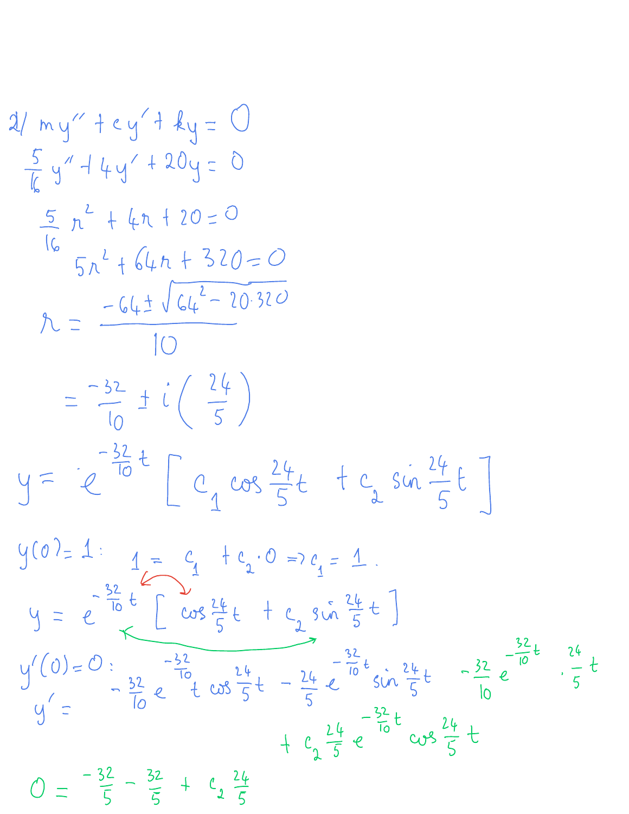$$
2/\frac{1}{2} + \frac{1}{2} + \frac{1}{2} + \frac{1}{2} = \frac{1}{2} + \frac{1}{2} + \frac{1}{2} + \frac{1}{2} + \frac{1}{2} + \frac{1}{2} + \frac{1}{2} + \frac{1}{2} + \frac{1}{2} + \frac{1}{2} + \frac{1}{2} + \frac{1}{2} + \frac{1}{2} + \frac{1}{2} + \frac{1}{2} + \frac{1}{2} + \frac{1}{2} + \frac{1}{2} + \frac{1}{2} + \frac{1}{2} + \frac{1}{2} + \frac{1}{2} + \frac{1}{2} + \frac{1}{2} + \frac{1}{2} + \frac{1}{2} + \frac{1}{2} + \frac{1}{2} + \frac{1}{2} + \frac{1}{2} + \frac{1}{2} + \frac{1}{2} + \frac{1}{2} + \frac{1}{2} + \frac{1}{2} + \frac{1}{2} + \frac{1}{2} + \frac{1}{2} + \frac{1}{2} + \frac{1}{2} + \frac{1}{2} + \frac{1}{2} + \frac{1}{2} + \frac{1}{2} + \frac{1}{2} + \frac{1}{2} + \frac{1}{2} + \frac{1}{2} + \frac{1}{2} + \frac{1}{2} + \frac{1}{2} + \frac{1}{2} + \frac{1}{2} + \frac{1}{2} + \frac{1}{2} + \frac{1}{2} + \frac{1}{2} + \frac{1}{2} + \frac{1}{2} + \frac{1}{2} + \frac{1}{2} + \frac{1}{2} + \frac{1}{2} + \frac{1}{2} + \frac{1}{2} + \frac{1}{2} + \frac{1}{2} + \frac{1}{2} + \frac{1}{2} + \frac{1}{2} + \frac{1}{2} + \frac{1}{2} + \frac{1}{2} + \frac{1}{2} + \frac{1}{2} + \frac{1}{2} + \frac{1}{2} + \frac{1}{2} + \frac{1}{2} + \frac{1}{2} + \frac{1}{2} + \frac{1}{2} + \frac{1}{2} + \frac{1}{2} + \frac{1}{2} + \frac{1}{2} + \frac{1}{2} + \frac{1}{2} + \frac{1}{2} + \frac{1}{2} + \frac{1}{2
$$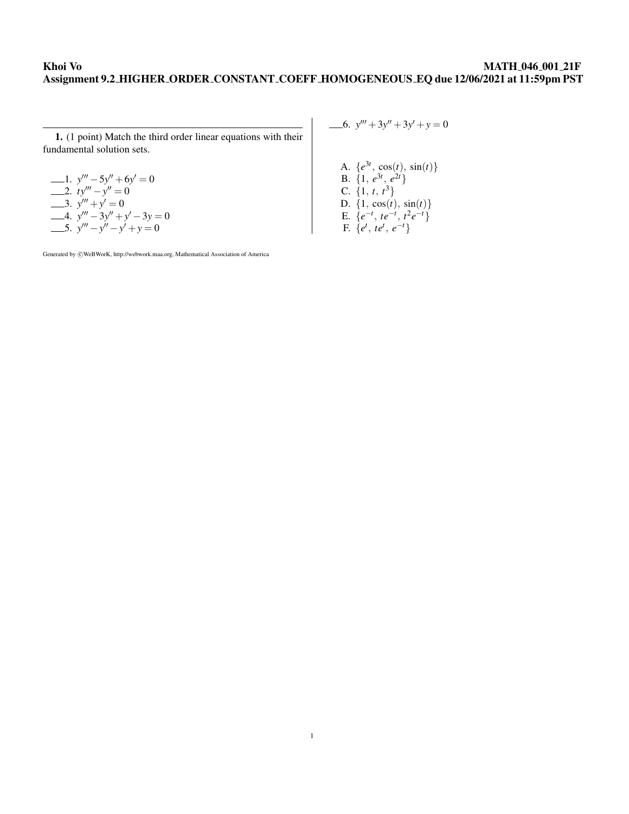## Khoi Vo MATH 046 001 21F Assignment 9.2 HIGHER ORDER CONSTANT COEFF HOMOGENEOUS EQ due 12/06/2021 at 11:59pm PST

1. (1 point) Match the third order linear equations with their fundamental solution sets.

1. 
$$
y''' - 5y'' + 6y' = 0
$$
  
\n2.  $ty''' - y'' = 0$   
\n3.  $y''' + y' = 0$   
\n4.  $y''' - 3y'' + y' - 3y = 0$   
\n5.  $y''' - y'' - y' + y = 0$ 

Generated by  $\odot$ WeBWorK, http://webwork.maa.org, Mathematical Association of America

6.  $y''' + 3y'' + 3y' + y = 0$ 

A.  $\{e^{3t}, \cos(t), \sin(t)\}\$ **B**.  $\{1, e^{3t}, e^{2t}\}$ C.  $\{1, t, t^3\}$ D.  $\{1, \cos(t), \sin(t)\}\$ E.  $\{e^{-t}, te^{-t}, t^2e^{-t}\}$  $F. \{e^t, te^t, e^{-t}\}$